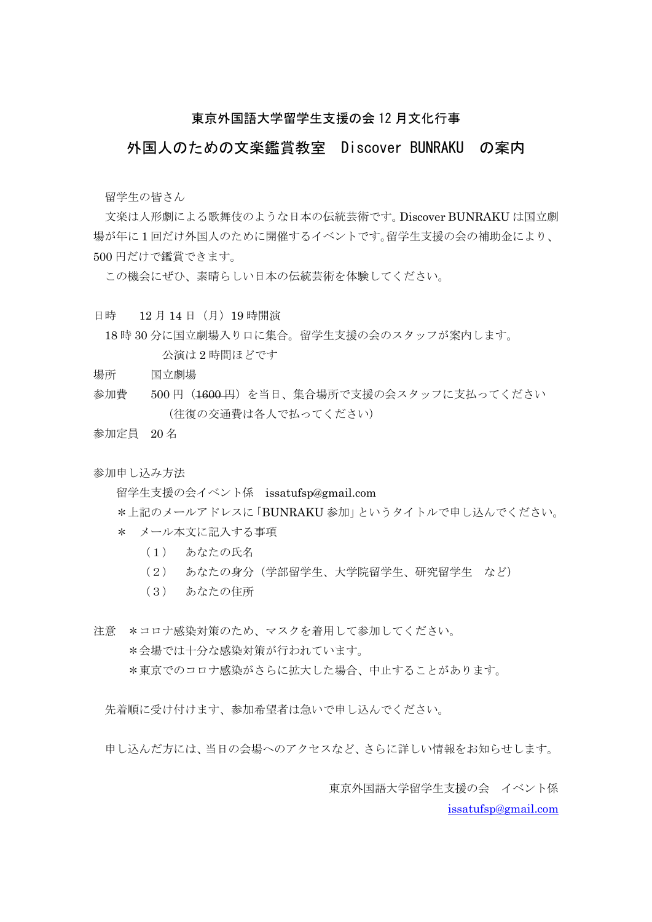#### 東京外国語大学留学生支援の会 12 月文化行事

#### 外国人のための文楽鑑賞教室 Discover BUNRAKU の案内

留学生の皆さん

 文楽は人形劇による歌舞伎のような日本の伝統芸術です。Discover BUNRAKU は国立劇 場が年に 1 回だけ外国人のために開催するイベントです。留学生支援の会の補助金により、 500 円だけで鑑賞できます。

この機会にぜひ、素晴らしい日本の伝統芸術を体験してください。

日時 12 月 14 日(月)19 時開演

18 時 30 分に国立劇場入り口に集合。留学生支援の会のスタッフが案内します。 公演は 2 時間ほどです

- 場所 国立劇場
- 参加費 500円 (1600円) を当日、集合場所で支援の会スタッフに支払ってください (往復の交通費は各人で払ってください)

参加定員 20 名

参加申し込み方法

留学生支援の会イベント係 issatufsp@gmail.com

\*上記のメールアドレスに「BUNRAKU 参加」というタイトルで申し込んでください。

- \* メール本文に記入する事項
	- (1) あなたの氏名
	- (2) あなたの身分(学部留学生、大学院留学生、研究留学生 など)
	- (3) あなたの住所

注意 \*コロナ感染対策のため、マスクを着用して参加してください。 \*会場では十分な感染対策が行われています。 \*東京でのコロナ感染がさらに拡大した場合、中止することがあります。

先着順に受け付けます、参加希望者は急いで申し込んでください。

申し込んだ方には、当日の会場へのアクセスなど、さらに詳しい情報をお知らせします。

 東京外国語大学留学生支援の会 イベント係 issatufsp@gmail.com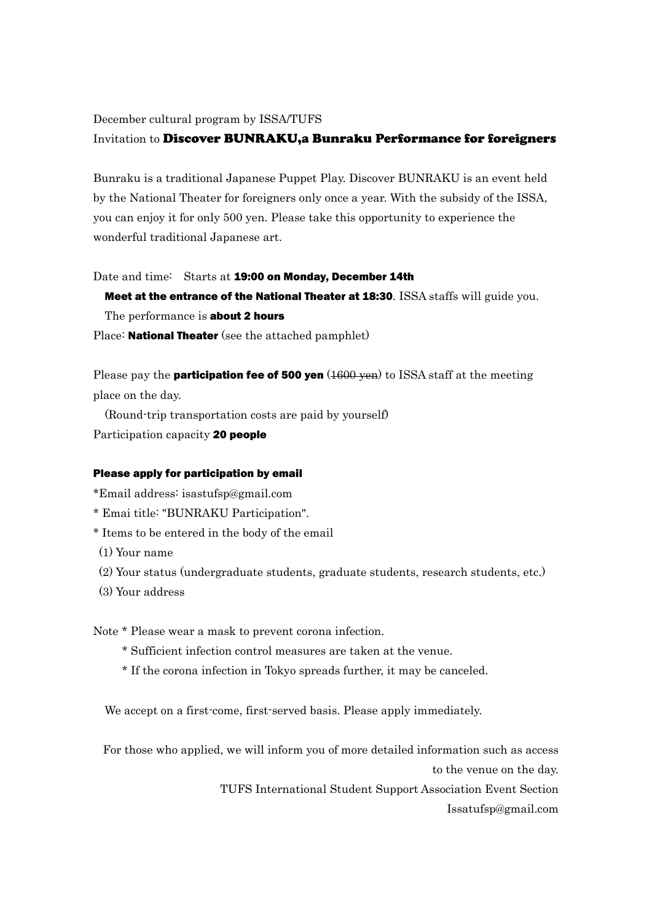December cultural program by ISSA/TUFS

#### Invitation to Discover BUNRAKU,a Bunraku Performance for foreigners

Bunraku is a traditional Japanese Puppet Play. Discover BUNRAKU is an event held by the National Theater for foreigners only once a year. With the subsidy of the ISSA, you can enjoy it for only 500 yen. Please take this opportunity to experience the wonderful traditional Japanese art.

#### Date and time: Starts at 19:00 on Monday, December 14th

Meet at the entrance of the National Theater at 18:30. ISSA staffs will guide you.

The performance is **about 2 hours** 

Place: **National Theater** (see the attached pamphlet)

Please pay the **participation fee of 500 yen**  $(1600 \text{ yen})$  to ISSA staff at the meeting place on the day.

(Round-trip transportation costs are paid by yourself) Participation capacity 20 people

#### Please apply for participation by email

\*Email address: isastufsp@gmail.com

- \* Emai title: "BUNRAKU Participation".
- \* Items to be entered in the body of the email
- (1) Your name
- (2) Your status (undergraduate students, graduate students, research students, etc.)
- (3) Your address

Note \* Please wear a mask to prevent corona infection.

- \* Sufficient infection control measures are taken at the venue.
- \* If the corona infection in Tokyo spreads further, it may be canceled.

We accept on a first-come, first-served basis. Please apply immediately.

For those who applied, we will inform you of more detailed information such as access

to the venue on the day.

TUFS International Student Support Association Event Section Issatufsp@gmail.com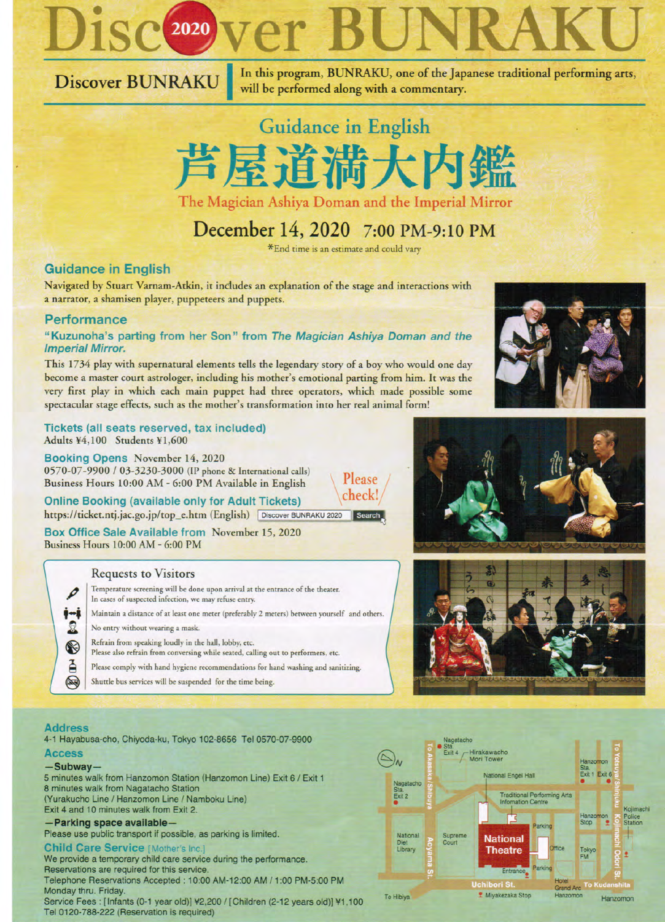

Discover BUNRAKU

In this program, BUNRAKU, one of the Japanese traditional performing arts, will be performed along with a commentary.



## December 14, 2020 7:00 PM-9:10 PM

\*End time is an estimate and could vary

Please

#### **Guidance in English**

Navigated by Stuart Varnam-Atkin, it includes an explanation of the stage and interactions with a narrator, a shamisen player, puppeteers and puppets.

#### **Performance**

#### "Kuzunoha's parting from her Son" from The Magician Ashiya Doman and the **Imperial Mirror.**

This 1734 play with supernatural elements tells the legendary story of a boy who would one day become a master court astrologer, including his mother's emotional parting from him. It was the very first play in which each main puppet had three operators, which made possible some spectacular stage effects, such as the mother's transformation into her real animal form!

Tickets (all seats reserved, tax included) Adults ¥4,100 Students ¥1,600

Booking Opens November 14, 2020 0570-07-9900 / 03-3230-3000 (IP phone & International calls) Business Hours 10:00 AM - 6:00 PM Available in English

check! **Online Booking (available only for Adult Tickets)** https://ticket.ntj.jac.go.jp/top\_e.htm (English) Discover BUNRAKU 2020 Search

Box Office Sale Available from November 15, 2020 Business Hours 10:00 AM - 6:00 PM

#### **Requests to Visitors**

- Temperature screening will be done upon arrival at the entrance of the theater. In cases of suspected infection, we may refuse entry. ∳÷Å Maintain a distance of at least one meter (preferably 2 meters) between yourself and others. No entry without wearing a mask. Refrain from speaking loudly in the hall, lobby, etc. Please also refrain from conversing while seated, calling out to performers, etc. Please comply with hand hygiene recommendations for hand washing and sanitizing.
	- Shuttle bus services will be suspended for the time being.

#### **Address**

I

요

 $\circledast$ 

Ã

 $\circledR$ 

4-1 Hayabusa-cho, Chiyoda-ku, Tokyo 102-8656 Tel 0570-07-9900

#### **Access**

#### $-Subway-$

5 minutes walk from Hanzomon Station (Hanzomon Line) Exit 6 / Exit 1 8 minutes walk from Nagatacho Station (Yurakucho Line / Hanzomon Line / Namboku Line) Exit 4 and 10 minutes walk from Exit 2.

### -Parking space available-

Please use public transport if possible, as parking is limited.

#### **Child Care Service [Mother's Inc.]**

We provide a temporary child care service during the performance. Reservations are required for this service. Telephone Reservations Accepted : 10:00 AM-12:00 AM / 1:00 PM-5:00 PM Monday thru. Friday. Service Fees : [Infants (0-1 year old)] ¥2,200 / [Children (2-12 years old)] ¥1,100 Tel 0120-788-222 (Reservation is required)

To Hibiya